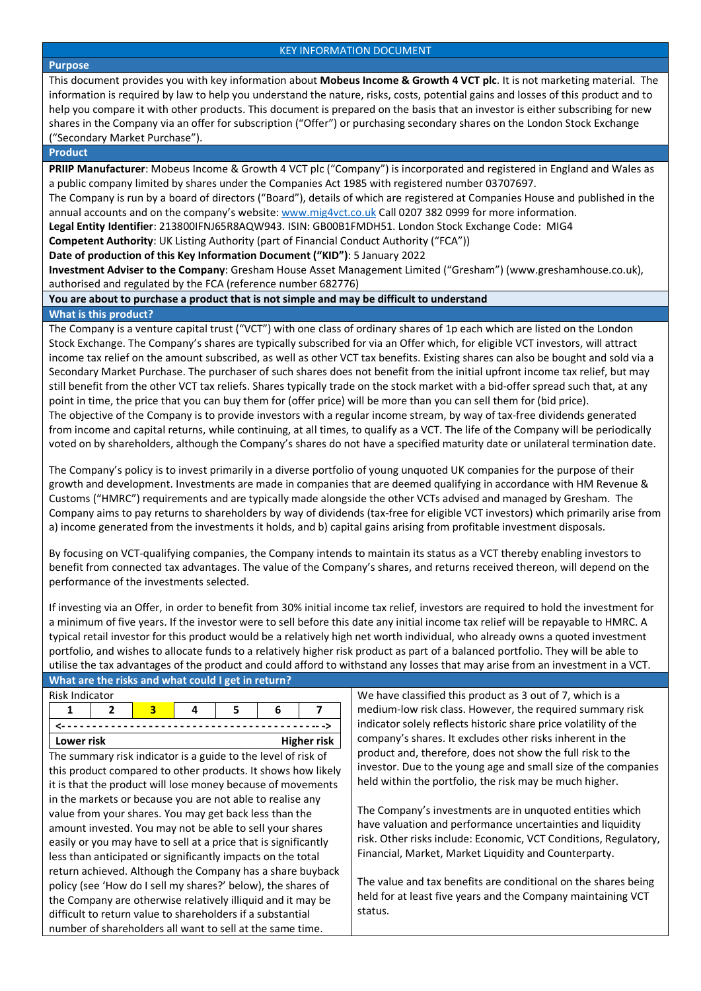#### **Purpose**

This document provides you with key information about **Mobeus Income & Growth 4 VCT plc**. It is not marketing material. The information is required by law to help you understand the nature, risks, costs, potential gains and losses of this product and to help you compare it with other products. This document is prepared on the basis that an investor is either subscribing for new shares in the Company via an offer for subscription ("Offer") or purchasing secondary shares on the London Stock Exchange ("Secondary Market Purchase").

## **Product**

**PRIIP Manufacturer**: Mobeus Income & Growth 4 VCT plc ("Company") is incorporated and registered in England and Wales as a public company limited by shares under the Companies Act 1985 with registered number 03707697.

The Company is run by a board of directors ("Board"), details of which are registered at Companies House and published in the annual accounts and on the company's website[: www.mig4vct.co.uk](http://www.mig2vct.co.uk/) Call 0207 382 0999 for more information.

**Legal Entity Identifier**: 213800IFNJ65R8AQW943. ISIN: GB00B1FMDH51. London Stock Exchange Code: MIG4

**Competent Authority**: UK Listing Authority (part of Financial Conduct Authority ("FCA"))

**Date of production of this Key Information Document ("KID")**: 5 January 2022

**Investment Adviser to the Company**: Gresham House Asset Management Limited ("Gresham") (www.greshamhouse.co.uk), authorised and regulated by the FCA (reference number 682776)

# **You are about to purchase a product that is not simple and may be difficult to understand**

# **What is this product?**

The Company is a venture capital trust ("VCT") with one class of ordinary shares of 1p each which are listed on the London Stock Exchange. The Company's shares are typically subscribed for via an Offer which, for eligible VCT investors, will attract income tax relief on the amount subscribed, as well as other VCT tax benefits. Existing shares can also be bought and sold via a Secondary Market Purchase. The purchaser of such shares does not benefit from the initial upfront income tax relief, but may still benefit from the other VCT tax reliefs. Shares typically trade on the stock market with a bid-offer spread such that, at any point in time, the price that you can buy them for (offer price) will be more than you can sell them for (bid price). The objective of the Company is to provide investors with a regular income stream, by way of tax-free dividends generated from income and capital returns, while continuing, at all times, to qualify as a VCT. The life of the Company will be periodically voted on by shareholders, although the Company's shares do not have a specified maturity date or unilateral termination date.

The Company's policy is to invest primarily in a diverse portfolio of young unquoted UK companies for the purpose of their growth and development. Investments are made in companies that are deemed qualifying in accordance with HM Revenue & Customs ("HMRC") requirements and are typically made alongside the other VCTs advised and managed by Gresham. The Company aims to pay returns to shareholders by way of dividends (tax-free for eligible VCT investors) which primarily arise from a) income generated from the investments it holds, and b) capital gains arising from profitable investment disposals.

By focusing on VCT-qualifying companies, the Company intends to maintain its status as a VCT thereby enabling investors to benefit from connected tax advantages. The value of the Company's shares, and returns received thereon, will depend on the performance of the investments selected.

If investing via an Offer, in order to benefit from 30% initial income tax relief, investors are required to hold the investment for a minimum of five years. If the investor were to sell before this date any initial income tax relief will be repayable to HMRC. A typical retail investor for this product would be a relatively high net worth individual, who already owns a quoted investment portfolio, and wishes to allocate funds to a relatively higher risk product as part of a balanced portfolio. They will be able to utilise the tax advantages of the product and could afford to withstand any losses that may arise from an investment in a VCT.

|                                                                 | What are the risks and what could I get in return? |   |                         |   |   |                                                             |                                                                |                                                                  |  |  |  |
|-----------------------------------------------------------------|----------------------------------------------------|---|-------------------------|---|---|-------------------------------------------------------------|----------------------------------------------------------------|------------------------------------------------------------------|--|--|--|
| <b>Risk Indicator</b>                                           |                                                    |   |                         |   |   |                                                             |                                                                | We have classified this product as 3 out of 7, which is a        |  |  |  |
|                                                                 |                                                    | 2 | $\overline{\mathbf{3}}$ | 4 | 5 | 6                                                           |                                                                | medium-low risk class. However, the required summary risk        |  |  |  |
|                                                                 |                                                    |   |                         |   |   |                                                             |                                                                | indicator solely reflects historic share price volatility of the |  |  |  |
| Lower risk<br>Higher risk                                       |                                                    |   |                         |   |   |                                                             | company's shares. It excludes other risks inherent in the      |                                                                  |  |  |  |
| The summary risk indicator is a guide to the level of risk of   |                                                    |   |                         |   |   |                                                             |                                                                | product and, therefore, does not show the full risk to the       |  |  |  |
|                                                                 |                                                    |   |                         |   |   |                                                             | this product compared to other products. It shows how likely   | investor. Due to the young age and small size of the companies   |  |  |  |
|                                                                 |                                                    |   |                         |   |   | it is that the product will lose money because of movements |                                                                | held within the portfolio, the risk may be much higher.          |  |  |  |
|                                                                 |                                                    |   |                         |   |   | in the markets or because you are not able to realise any   |                                                                |                                                                  |  |  |  |
| value from your shares. You may get back less than the          |                                                    |   |                         |   |   |                                                             |                                                                | The Company's investments are in unquoted entities which         |  |  |  |
| amount invested. You may not be able to sell your shares        |                                                    |   |                         |   |   |                                                             |                                                                | have valuation and performance uncertainties and liquidity       |  |  |  |
| easily or you may have to sell at a price that is significantly |                                                    |   |                         |   |   |                                                             |                                                                | risk. Other risks include: Economic, VCT Conditions, Regulatory, |  |  |  |
| less than anticipated or significantly impacts on the total     |                                                    |   |                         |   |   |                                                             |                                                                | Financial, Market, Market Liquidity and Counterparty.            |  |  |  |
| return achieved. Although the Company has a share buyback       |                                                    |   |                         |   |   |                                                             |                                                                |                                                                  |  |  |  |
| policy (see 'How do I sell my shares?' below), the shares of    |                                                    |   |                         |   |   |                                                             | The value and tax benefits are conditional on the shares being |                                                                  |  |  |  |
| the Company are otherwise relatively illiquid and it may be     |                                                    |   |                         |   |   |                                                             |                                                                | held for at least five years and the Company maintaining VCT     |  |  |  |
| difficult to return value to shareholders if a substantial      |                                                    |   |                         |   |   |                                                             | status.                                                        |                                                                  |  |  |  |
| number of shareholders all want to sell at the same time.       |                                                    |   |                         |   |   |                                                             |                                                                |                                                                  |  |  |  |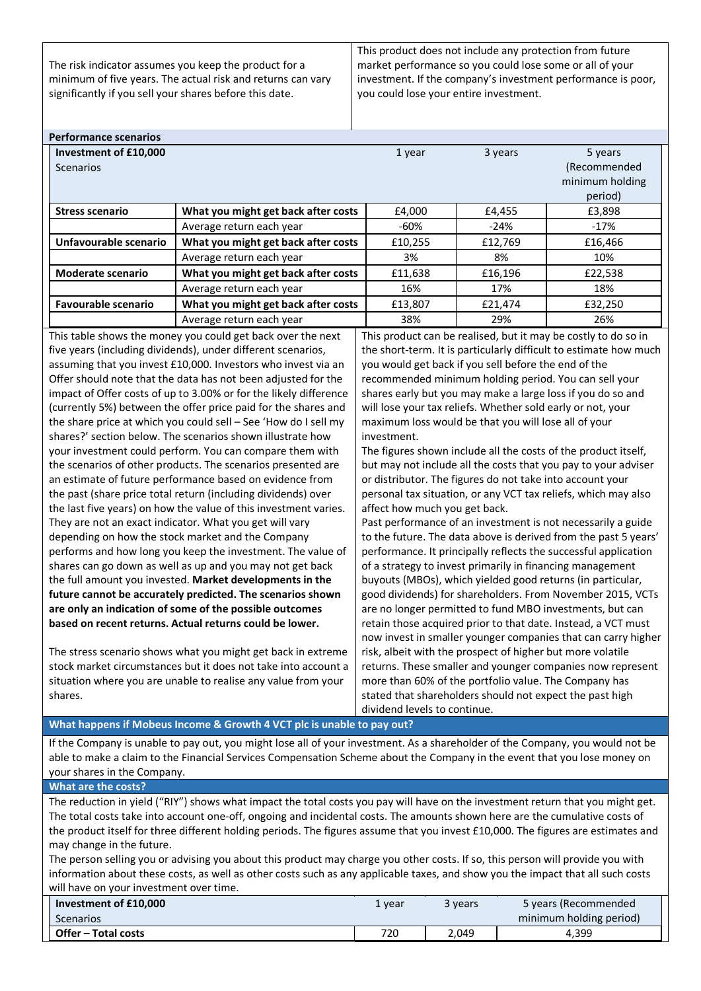The risk indicator assumes you keep the product for a minimum of five years. The actual risk and returns can vary significantly if you sell your shares before this date.

This product does not include any protection from future market performance so you could lose some or all of your investment. If the company's investment performance is poor, you could lose your entire investment.

| <b>Performance scenarios</b>                                                                                                    |                                                                                                                                   |                                                                                                                          |         |                                                                   |  |  |
|---------------------------------------------------------------------------------------------------------------------------------|-----------------------------------------------------------------------------------------------------------------------------------|--------------------------------------------------------------------------------------------------------------------------|---------|-------------------------------------------------------------------|--|--|
| Investment of £10,000                                                                                                           |                                                                                                                                   | 1 year                                                                                                                   | 3 years | 5 years                                                           |  |  |
| Scenarios                                                                                                                       |                                                                                                                                   |                                                                                                                          |         | (Recommended                                                      |  |  |
|                                                                                                                                 |                                                                                                                                   |                                                                                                                          |         | minimum holding                                                   |  |  |
|                                                                                                                                 |                                                                                                                                   |                                                                                                                          |         | period)                                                           |  |  |
| <b>Stress scenario</b>                                                                                                          | What you might get back after costs                                                                                               | £4,000                                                                                                                   | £4,455  | £3,898                                                            |  |  |
|                                                                                                                                 | Average return each year                                                                                                          | $-60%$                                                                                                                   | $-24%$  | $-17%$                                                            |  |  |
| Unfavourable scenario                                                                                                           | What you might get back after costs                                                                                               | £10,255                                                                                                                  | £12,769 | £16,466                                                           |  |  |
|                                                                                                                                 | Average return each year                                                                                                          | 3%                                                                                                                       | 8%      | 10%                                                               |  |  |
| <b>Moderate scenario</b>                                                                                                        | What you might get back after costs                                                                                               | £11,638                                                                                                                  | £16,196 | £22,538                                                           |  |  |
|                                                                                                                                 | Average return each year                                                                                                          | 16%                                                                                                                      | 17%     | 18%                                                               |  |  |
| <b>Favourable scenario</b>                                                                                                      | What you might get back after costs                                                                                               | £13,807                                                                                                                  | £21,474 | £32,250                                                           |  |  |
|                                                                                                                                 | Average return each year                                                                                                          | 38%                                                                                                                      | 29%     | 26%                                                               |  |  |
|                                                                                                                                 | This table shows the money you could get back over the next                                                                       |                                                                                                                          |         | This product can be realised, but it may be costly to do so in    |  |  |
|                                                                                                                                 | five years (including dividends), under different scenarios,                                                                      |                                                                                                                          |         | the short-term. It is particularly difficult to estimate how much |  |  |
|                                                                                                                                 | assuming that you invest £10,000. Investors who invest via an                                                                     | you would get back if you sell before the end of the                                                                     |         |                                                                   |  |  |
|                                                                                                                                 | Offer should note that the data has not been adjusted for the                                                                     | recommended minimum holding period. You can sell your                                                                    |         |                                                                   |  |  |
|                                                                                                                                 | impact of Offer costs of up to 3.00% or for the likely difference                                                                 |                                                                                                                          |         | shares early but you may make a large loss if you do so and       |  |  |
|                                                                                                                                 | (currently 5%) between the offer price paid for the shares and                                                                    | will lose your tax reliefs. Whether sold early or not, your                                                              |         |                                                                   |  |  |
|                                                                                                                                 | the share price at which you could sell - See 'How do I sell my                                                                   | maximum loss would be that you will lose all of your                                                                     |         |                                                                   |  |  |
|                                                                                                                                 | shares?' section below. The scenarios shown illustrate how                                                                        | investment.                                                                                                              |         |                                                                   |  |  |
|                                                                                                                                 | your investment could perform. You can compare them with                                                                          | The figures shown include all the costs of the product itself,                                                           |         |                                                                   |  |  |
|                                                                                                                                 | the scenarios of other products. The scenarios presented are                                                                      | but may not include all the costs that you pay to your adviser                                                           |         |                                                                   |  |  |
|                                                                                                                                 | an estimate of future performance based on evidence from                                                                          | or distributor. The figures do not take into account your                                                                |         |                                                                   |  |  |
|                                                                                                                                 | the past (share price total return (including dividends) over                                                                     | personal tax situation, or any VCT tax reliefs, which may also                                                           |         |                                                                   |  |  |
|                                                                                                                                 | the last five years) on how the value of this investment varies.                                                                  | affect how much you get back.                                                                                            |         |                                                                   |  |  |
|                                                                                                                                 | They are not an exact indicator. What you get will vary                                                                           | Past performance of an investment is not necessarily a guide                                                             |         |                                                                   |  |  |
|                                                                                                                                 | depending on how the stock market and the Company                                                                                 | to the future. The data above is derived from the past 5 years'                                                          |         |                                                                   |  |  |
|                                                                                                                                 | performs and how long you keep the investment. The value of                                                                       | performance. It principally reflects the successful application                                                          |         |                                                                   |  |  |
|                                                                                                                                 | shares can go down as well as up and you may not get back                                                                         | of a strategy to invest primarily in financing management                                                                |         |                                                                   |  |  |
|                                                                                                                                 | the full amount you invested. Market developments in the                                                                          | buyouts (MBOs), which yielded good returns (in particular,<br>good dividends) for shareholders. From November 2015, VCTs |         |                                                                   |  |  |
|                                                                                                                                 | future cannot be accurately predicted. The scenarios shown                                                                        | are no longer permitted to fund MBO investments, but can                                                                 |         |                                                                   |  |  |
|                                                                                                                                 | are only an indication of some of the possible outcomes<br>based on recent returns. Actual returns could be lower.                | retain those acquired prior to that date. Instead, a VCT must                                                            |         |                                                                   |  |  |
|                                                                                                                                 |                                                                                                                                   |                                                                                                                          |         | now invest in smaller younger companies that can carry higher     |  |  |
|                                                                                                                                 | The stress scenario shows what you might get back in extreme                                                                      |                                                                                                                          |         |                                                                   |  |  |
|                                                                                                                                 | stock market circumstances but it does not take into account a                                                                    | risk, albeit with the prospect of higher but more volatile<br>returns. These smaller and younger companies now represent |         |                                                                   |  |  |
|                                                                                                                                 | situation where you are unable to realise any value from your                                                                     | more than 60% of the portfolio value. The Company has                                                                    |         |                                                                   |  |  |
| shares.                                                                                                                         |                                                                                                                                   | stated that shareholders should not expect the past high                                                                 |         |                                                                   |  |  |
|                                                                                                                                 |                                                                                                                                   | dividend levels to continue.                                                                                             |         |                                                                   |  |  |
| What happens if Mobeus Income & Growth 4 VCT plc is unable to pay out?                                                          |                                                                                                                                   |                                                                                                                          |         |                                                                   |  |  |
| If the Company is unable to pay out, you might lose all of your investment. As a shareholder of the Company, you would not be   |                                                                                                                                   |                                                                                                                          |         |                                                                   |  |  |
| able to make a claim to the Financial Services Compensation Scheme about the Company in the event that you lose money on        |                                                                                                                                   |                                                                                                                          |         |                                                                   |  |  |
| your shares in the Company.                                                                                                     |                                                                                                                                   |                                                                                                                          |         |                                                                   |  |  |
| <b>What are the costs?</b>                                                                                                      |                                                                                                                                   |                                                                                                                          |         |                                                                   |  |  |
| The reduction in yield ("RIY") shows what impact the total costs you pay will have on the investment return that you might get. |                                                                                                                                   |                                                                                                                          |         |                                                                   |  |  |
|                                                                                                                                 | The total costs take into account one-off, ongoing and incidental costs. The amounts shown here are the cumulative costs of       |                                                                                                                          |         |                                                                   |  |  |
|                                                                                                                                 | the product itself for three different holding periods. The figures assume that you invest £10,000. The figures are estimates and |                                                                                                                          |         |                                                                   |  |  |
| may change in the future.                                                                                                       |                                                                                                                                   |                                                                                                                          |         |                                                                   |  |  |
|                                                                                                                                 | The person selling you or advising you about this product may charge you other costs. If so, this person will provide you with    |                                                                                                                          |         |                                                                   |  |  |
|                                                                                                                                 | information about these costs, as well as other costs such as any applicable taxes, and show you the impact that all such costs   |                                                                                                                          |         |                                                                   |  |  |
| will have on your investment over time.                                                                                         |                                                                                                                                   |                                                                                                                          |         |                                                                   |  |  |

| Investment of £10.000 | 1 year | 3 vears | 5 years (Recommended    |
|-----------------------|--------|---------|-------------------------|
| <b>Scenarios</b>      |        |         | minimum holding period) |
| Offer - Total costs   | 720    | 2.049   | 4,399                   |